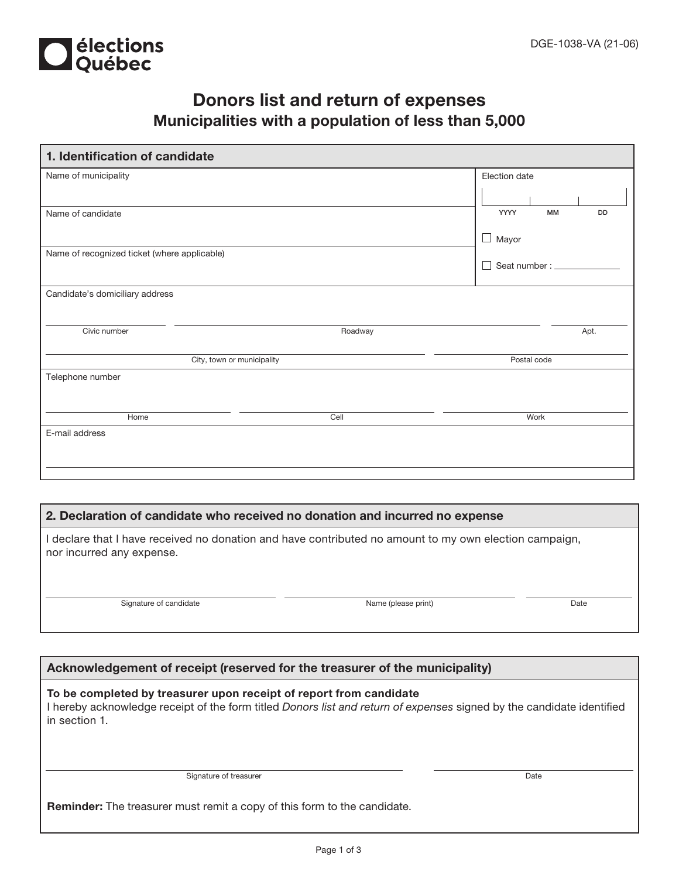

## Donors list and return of expenses Municipalities with a population of less than 5,000

| 1. Identification of candidate               |         |                                |  |  |  |  |
|----------------------------------------------|---------|--------------------------------|--|--|--|--|
| Name of municipality                         |         | Election date                  |  |  |  |  |
|                                              |         |                                |  |  |  |  |
| Name of candidate                            |         | YYYY<br><b>MM</b><br><b>DD</b> |  |  |  |  |
|                                              |         | $\Box$ Mayor                   |  |  |  |  |
| Name of recognized ticket (where applicable) |         | Seat number: __________        |  |  |  |  |
| Candidate's domiciliary address              |         |                                |  |  |  |  |
|                                              |         |                                |  |  |  |  |
| Civic number                                 | Roadway | Apt.                           |  |  |  |  |
| City, town or municipality                   |         | Postal code                    |  |  |  |  |
| Telephone number                             |         |                                |  |  |  |  |
|                                              |         |                                |  |  |  |  |
| Home                                         | Cell    | Work                           |  |  |  |  |
| E-mail address                               |         |                                |  |  |  |  |
|                                              |         |                                |  |  |  |  |
|                                              |         |                                |  |  |  |  |

## 2. Declaration of candidate who received no donation and incurred no expense

I declare that I have received no donation and have contributed no amount to my own election campaign, nor incurred any expense.

Signature of candidate Date Name (please print) Date

## Acknowledgement of receipt (reserved for the treasurer of the municipality)

To be completed by treasurer upon receipt of report from candidate I hereby acknowledge receipt of the form titled Donors list and return of expenses signed by the candidate identified in section 1.

Signature of treasurer Date

Reminder: The treasurer must remit a copy of this form to the candidate.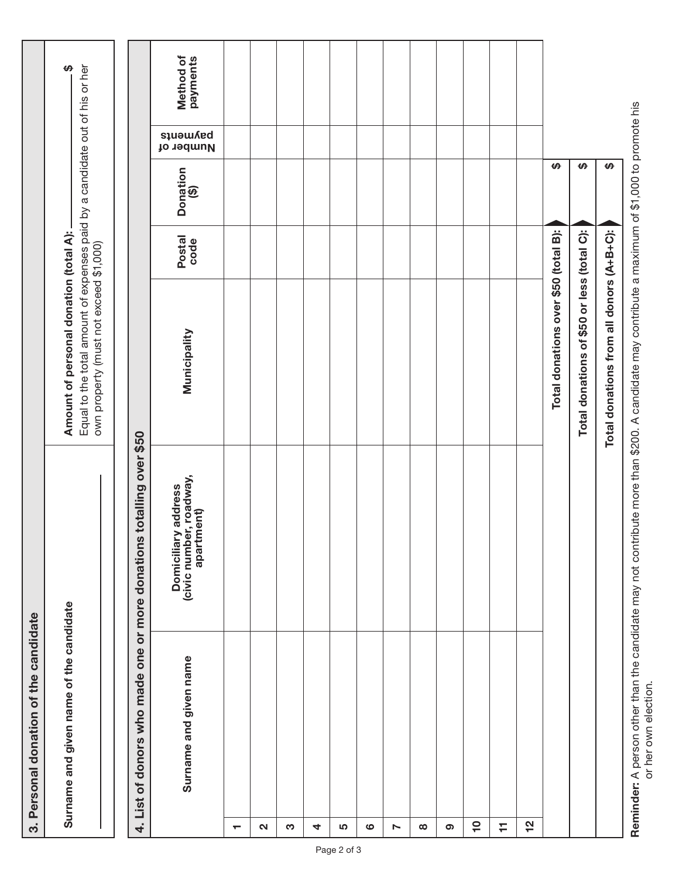|                          | 3. Personal donation of the candidate                                                                                                          |                                                              |                                                                                                                                                                 |                       |                  |                       |                       |
|--------------------------|------------------------------------------------------------------------------------------------------------------------------------------------|--------------------------------------------------------------|-----------------------------------------------------------------------------------------------------------------------------------------------------------------|-----------------------|------------------|-----------------------|-----------------------|
|                          | Surname and given name of the candidate                                                                                                        |                                                              | Equal to the total amount of expenses paid by a candidate out of his or her<br>Amount of personal donation (total A):<br>own property (must not exceed \$1,000) |                       |                  |                       | ₩                     |
|                          | 4. List of donors who made one or more donations                                                                                               | totalling over \$50                                          |                                                                                                                                                                 |                       |                  |                       |                       |
|                          | Surname and given name                                                                                                                         | Domiciliary address<br>(civic number, roadway,<br>apartment) | Municipality                                                                                                                                                    | <b>Postal</b><br>code | Donation<br>(\$) | payments<br>Number of | Method of<br>payments |
| $\overline{\phantom{0}}$ |                                                                                                                                                |                                                              |                                                                                                                                                                 |                       |                  |                       |                       |
| $\mathbf{\Omega}$        |                                                                                                                                                |                                                              |                                                                                                                                                                 |                       |                  |                       |                       |
| S                        |                                                                                                                                                |                                                              |                                                                                                                                                                 |                       |                  |                       |                       |
| 4                        |                                                                                                                                                |                                                              |                                                                                                                                                                 |                       |                  |                       |                       |
| 5                        |                                                                                                                                                |                                                              |                                                                                                                                                                 |                       |                  |                       |                       |
| ဖ                        |                                                                                                                                                |                                                              |                                                                                                                                                                 |                       |                  |                       |                       |
| Z                        |                                                                                                                                                |                                                              |                                                                                                                                                                 |                       |                  |                       |                       |
| $\infty$                 |                                                                                                                                                |                                                              |                                                                                                                                                                 |                       |                  |                       |                       |
| ၜ                        |                                                                                                                                                |                                                              |                                                                                                                                                                 |                       |                  |                       |                       |
| $\overline{a}$           |                                                                                                                                                |                                                              |                                                                                                                                                                 |                       |                  |                       |                       |
| H                        |                                                                                                                                                |                                                              |                                                                                                                                                                 |                       |                  |                       |                       |
| <u>인</u>                 |                                                                                                                                                |                                                              |                                                                                                                                                                 |                       |                  |                       |                       |
|                          |                                                                                                                                                |                                                              | Total donations over \$50 (total B):                                                                                                                            |                       | $\pmb{\varphi}$  |                       |                       |
|                          |                                                                                                                                                |                                                              | Total donations of \$50 or less (total C):                                                                                                                      |                       | $\theta$         |                       |                       |
|                          |                                                                                                                                                |                                                              | Total donations from all donors (A+B+C):                                                                                                                        |                       | $\theta$         |                       |                       |
|                          | Reminder: A person other than the candidate may not contribute more than \$200. A candidate may contribute a maximum of \$1,000 to promote his |                                                              |                                                                                                                                                                 |                       |                  |                       |                       |

or her own election. or her own election.